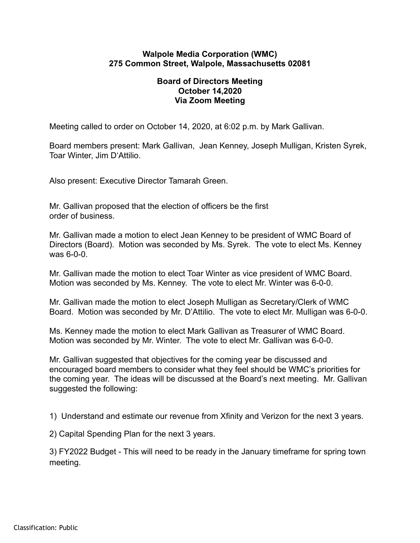## **Walpole Media Corporation (WMC) 275 Common Street, Walpole, Massachusetts 02081**

## **Board of Directors Meeting October 14,2020 Via Zoom Meeting**

Meeting called to order on October 14, 2020, at 6:02 p.m. by Mark Gallivan.

Board members present: Mark Gallivan, Jean Kenney, Joseph Mulligan, Kristen Syrek, Toar Winter, Jim D'Attilio.

Also present: Executive Director Tamarah Green.

Mr. Gallivan proposed that the election of officers be the first order of business.

Mr. Gallivan made a motion to elect Jean Kenney to be president of WMC Board of Directors (Board). Motion was seconded by Ms. Syrek. The vote to elect Ms. Kenney was 6-0-0.

Mr. Gallivan made the motion to elect Toar Winter as vice president of WMC Board. Motion was seconded by Ms. Kenney. The vote to elect Mr. Winter was 6-0-0.

Mr. Gallivan made the motion to elect Joseph Mulligan as Secretary/Clerk of WMC Board. Motion was seconded by Mr. D'Attilio. The vote to elect Mr. Mulligan was 6-0-0.

Ms. Kenney made the motion to elect Mark Gallivan as Treasurer of WMC Board. Motion was seconded by Mr. Winter. The vote to elect Mr. Gallivan was 6-0-0.

Mr. Gallivan suggested that objectives for the coming year be discussed and encouraged board members to consider what they feel should be WMC's priorities for the coming year. The ideas will be discussed at the Board's next meeting. Mr. Gallivan suggested the following:

1) Understand and estimate our revenue from Xfinity and Verizon for the next 3 years.

2) Capital Spending Plan for the next 3 years.

3) FY2022 Budget - This will need to be ready in the January timeframe for spring town meeting.